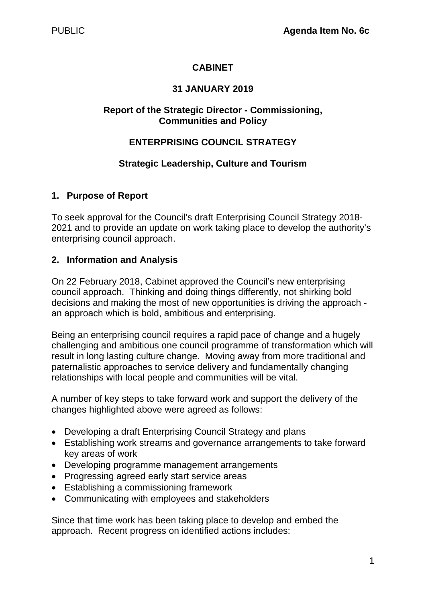## **CABINET**

## **31 JANUARY 2019**

#### **Report of the Strategic Director - Commissioning, Communities and Policy**

#### **ENTERPRISING COUNCIL STRATEGY**

#### **Strategic Leadership, Culture and Tourism**

#### **1. Purpose of Report**

To seek approval for the Council's draft Enterprising Council Strategy 2018- 2021 and to provide an update on work taking place to develop the authority's enterprising council approach.

#### **2. Information and Analysis**

On 22 February 2018, Cabinet approved the Council's new enterprising council approach. Thinking and doing things differently, not shirking bold decisions and making the most of new opportunities is driving the approach an approach which is bold, ambitious and enterprising.

Being an enterprising council requires a rapid pace of change and a hugely challenging and ambitious one council programme of transformation which will result in long lasting culture change. Moving away from more traditional and paternalistic approaches to service delivery and fundamentally changing relationships with local people and communities will be vital.

A number of key steps to take forward work and support the delivery of the changes highlighted above were agreed as follows:

- Developing a draft Enterprising Council Strategy and plans
- Establishing work streams and governance arrangements to take forward key areas of work
- Developing programme management arrangements
- Progressing agreed early start service areas
- Establishing a commissioning framework
- Communicating with employees and stakeholders

Since that time work has been taking place to develop and embed the approach. Recent progress on identified actions includes: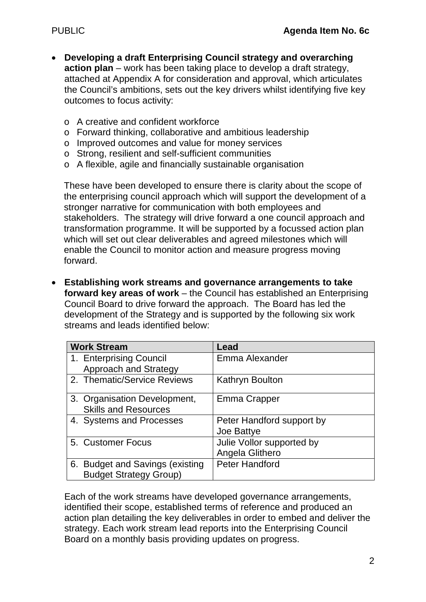- **Developing a draft Enterprising Council strategy and overarching action plan** – work has been taking place to develop a draft strategy, attached at Appendix A for consideration and approval, which articulates the Council's ambitions, sets out the key drivers whilst identifying five key outcomes to focus activity:
	- o A creative and confident workforce
	- o Forward thinking, collaborative and ambitious leadership
	- o Improved outcomes and value for money services
	- o Strong, resilient and self-sufficient communities
	- o A flexible, agile and financially sustainable organisation

These have been developed to ensure there is clarity about the scope of the enterprising council approach which will support the development of a stronger narrative for communication with both employees and stakeholders. The strategy will drive forward a one council approach and transformation programme. It will be supported by a focussed action plan which will set out clear deliverables and agreed milestones which will enable the Council to monitor action and measure progress moving forward.

• **Establishing work streams and governance arrangements to take forward key areas of work** – the Council has established an Enterprising Council Board to drive forward the approach. The Board has led the development of the Strategy and is supported by the following six work streams and leads identified below:

| <b>Work Stream</b>                                          | Lead                      |
|-------------------------------------------------------------|---------------------------|
| 1. Enterprising Council                                     | Emma Alexander            |
| <b>Approach and Strategy</b>                                |                           |
| 2. Thematic/Service Reviews                                 | Kathryn Boulton           |
| 3. Organisation Development,<br><b>Skills and Resources</b> | Emma Crapper              |
| 4. Systems and Processes                                    | Peter Handford support by |
|                                                             | Joe Battye                |
| 5. Customer Focus                                           | Julie Vollor supported by |
|                                                             | Angela Glithero           |
| <b>Budget and Savings (existing</b><br>6.                   | <b>Peter Handford</b>     |
| <b>Budget Strategy Group)</b>                               |                           |

Each of the work streams have developed governance arrangements, identified their scope, established terms of reference and produced an action plan detailing the key deliverables in order to embed and deliver the strategy. Each work stream lead reports into the Enterprising Council Board on a monthly basis providing updates on progress.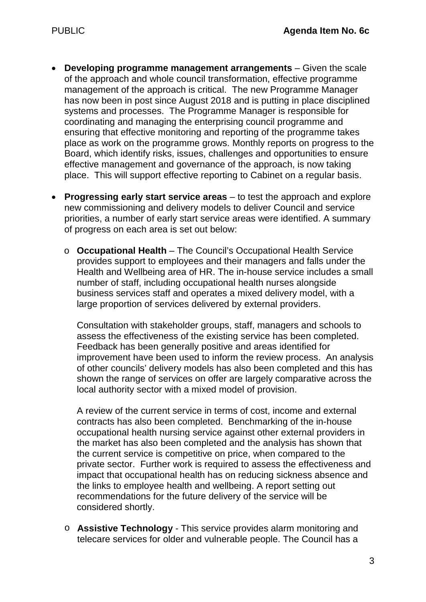- **Developing programme management arrangements** Given the scale of the approach and whole council transformation, effective programme management of the approach is critical. The new Programme Manager has now been in post since August 2018 and is putting in place disciplined systems and processes. The Programme Manager is responsible for coordinating and managing the enterprising council programme and ensuring that effective monitoring and reporting of the programme takes place as work on the programme grows. Monthly reports on progress to the Board, which identify risks, issues, challenges and opportunities to ensure effective management and governance of the approach, is now taking place. This will support effective reporting to Cabinet on a regular basis.
- **Progressing early start service areas** to test the approach and explore new commissioning and delivery models to deliver Council and service priorities, a number of early start service areas were identified. A summary of progress on each area is set out below:
	- o **Occupational Health** The Council's Occupational Health Service provides support to employees and their managers and falls under the Health and Wellbeing area of HR. The in-house service includes a small number of staff, including occupational health nurses alongside business services staff and operates a mixed delivery model, with a large proportion of services delivered by external providers.

Consultation with stakeholder groups, staff, managers and schools to assess the effectiveness of the existing service has been completed. Feedback has been generally positive and areas identified for improvement have been used to inform the review process. An analysis of other councils' delivery models has also been completed and this has shown the range of services on offer are largely comparative across the local authority sector with a mixed model of provision.

A review of the current service in terms of cost, income and external contracts has also been completed. Benchmarking of the in-house occupational health nursing service against other external providers in the market has also been completed and the analysis has shown that the current service is competitive on price, when compared to the private sector. Further work is required to assess the effectiveness and impact that occupational health has on reducing sickness absence and the links to employee health and wellbeing. A report setting out recommendations for the future delivery of the service will be considered shortly.

o **Assistive Technology** - This service provides alarm monitoring and telecare services for older and vulnerable people. The Council has a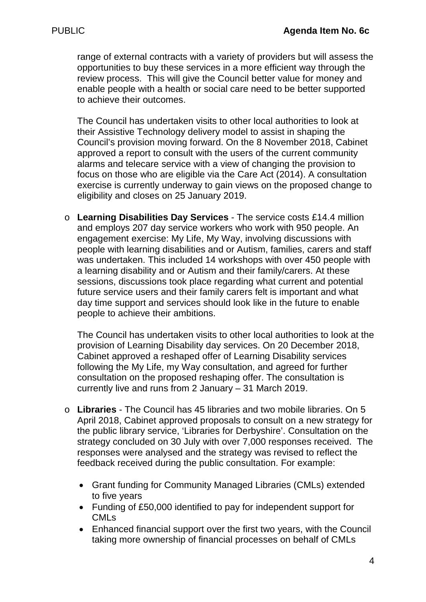range of external contracts with a variety of providers but will assess the opportunities to buy these services in a more efficient way through the review process. This will give the Council better value for money and enable people with a health or social care need to be better supported to achieve their outcomes.

The Council has undertaken visits to other local authorities to look at their Assistive Technology delivery model to assist in shaping the Council's provision moving forward. On the 8 November 2018, Cabinet approved a report to consult with the users of the current community alarms and telecare service with a view of changing the provision to focus on those who are eligible via the Care Act (2014). A consultation exercise is currently underway to gain views on the proposed change to eligibility and closes on 25 January 2019.

o **Learning Disabilities Day Services** - The service costs £14.4 million and employs 207 day service workers who work with 950 people. An engagement exercise: My Life, My Way, involving discussions with people with learning disabilities and or Autism, families, carers and staff was undertaken. This included 14 workshops with over 450 people with a learning disability and or Autism and their family/carers. At these sessions, discussions took place regarding what current and potential future service users and their family carers felt is important and what day time support and services should look like in the future to enable people to achieve their ambitions.

The Council has undertaken visits to other local authorities to look at the provision of Learning Disability day services. On 20 December 2018, Cabinet approved a reshaped offer of Learning Disability services following the My Life, my Way consultation, and agreed for further consultation on the proposed reshaping offer. The consultation is currently live and runs from 2 January – 31 March 2019.

- o **Libraries** The Council has 45 libraries and two mobile libraries. On 5 April 2018, Cabinet approved proposals to consult on a new strategy for the public library service, 'Libraries for Derbyshire'. Consultation on the strategy concluded on 30 July with over 7,000 responses received. The responses were analysed and the strategy was revised to reflect the feedback received during the public consultation. For example:
	- Grant funding for Community Managed Libraries (CMLs) extended to five years
	- Funding of £50,000 identified to pay for independent support for CMLs
	- Enhanced financial support over the first two years, with the Council taking more ownership of financial processes on behalf of CMLs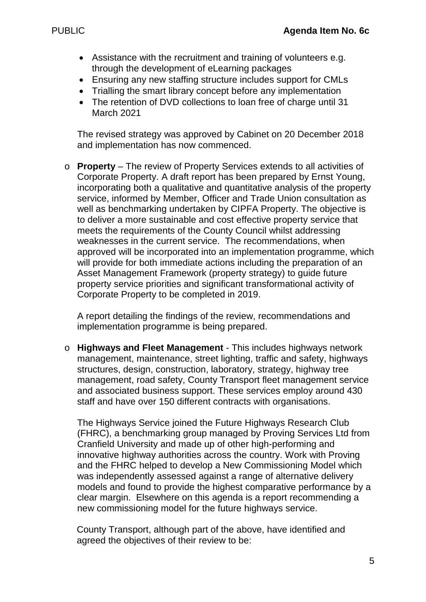- Assistance with the recruitment and training of volunteers e.g. through the development of eLearning packages
- Ensuring any new staffing structure includes support for CMLs
- Trialling the smart library concept before any implementation
- The retention of DVD collections to loan free of charge until 31 March 2021

The revised strategy was approved by Cabinet on 20 December 2018 and implementation has now commenced.

o **Property** – The review of Property Services extends to all activities of Corporate Property. A draft report has been prepared by Ernst Young, incorporating both a qualitative and quantitative analysis of the property service, informed by Member, Officer and Trade Union consultation as well as benchmarking undertaken by CIPFA Property. The objective is to deliver a more sustainable and cost effective property service that meets the requirements of the County Council whilst addressing weaknesses in the current service. The recommendations, when approved will be incorporated into an implementation programme, which will provide for both immediate actions including the preparation of an Asset Management Framework (property strategy) to guide future property service priorities and significant transformational activity of Corporate Property to be completed in 2019.

A report detailing the findings of the review, recommendations and implementation programme is being prepared.

o **Highways and Fleet Management** - This includes highways network management, maintenance, street lighting, traffic and safety, highways structures, design, construction, laboratory, strategy, highway tree management, road safety, County Transport fleet management service and associated business support. These services employ around 430 staff and have over 150 different contracts with organisations.

The Highways Service joined the Future Highways Research Club (FHRC), a benchmarking group managed by Proving Services Ltd from Cranfield University and made up of other high-performing and innovative highway authorities across the country. Work with Proving and the FHRC helped to develop a New Commissioning Model which was independently assessed against a range of alternative delivery models and found to provide the highest comparative performance by a clear margin. Elsewhere on this agenda is a report recommending a new commissioning model for the future highways service.

County Transport, although part of the above, have identified and agreed the objectives of their review to be: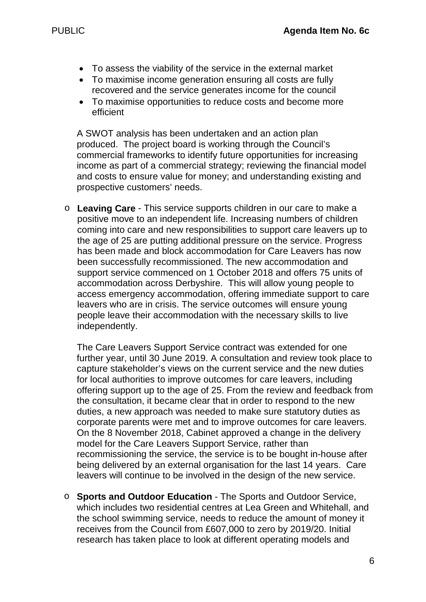- To assess the viability of the service in the external market
- To maximise income generation ensuring all costs are fully recovered and the service generates income for the council
- To maximise opportunities to reduce costs and become more efficient

A SWOT analysis has been undertaken and an action plan produced. The project board is working through the Council's commercial frameworks to identify future opportunities for increasing income as part of a commercial strategy; reviewing the financial model and costs to ensure value for money; and understanding existing and prospective customers' needs.

o **Leaving Care** - This service supports children in our care to make a positive move to an independent life. Increasing numbers of children coming into care and new responsibilities to support care leavers up to the age of 25 are putting additional pressure on the service. Progress has been made and block accommodation for Care Leavers has now been successfully recommissioned. The new accommodation and support service commenced on 1 October 2018 and offers 75 units of accommodation across Derbyshire. This will allow young people to access emergency accommodation, offering immediate support to care leavers who are in crisis. The service outcomes will ensure young people leave their accommodation with the necessary skills to live independently.

The Care Leavers Support Service contract was extended for one further year, until 30 June 2019. A consultation and review took place to capture stakeholder's views on the current service and the new duties for local authorities to improve outcomes for care leavers, including offering support up to the age of 25. From the review and feedback from the consultation, it became clear that in order to respond to the new duties, a new approach was needed to make sure statutory duties as corporate parents were met and to improve outcomes for care leavers. On the 8 November 2018, Cabinet approved a change in the delivery model for the Care Leavers Support Service, rather than recommissioning the service, the service is to be bought in-house after being delivered by an external organisation for the last 14 years. Care leavers will continue to be involved in the design of the new service.

o **Sports and Outdoor Education** - The Sports and Outdoor Service, which includes two residential centres at Lea Green and Whitehall, and the school swimming service, needs to reduce the amount of money it receives from the Council from £607,000 to zero by 2019/20. Initial research has taken place to look at different operating models and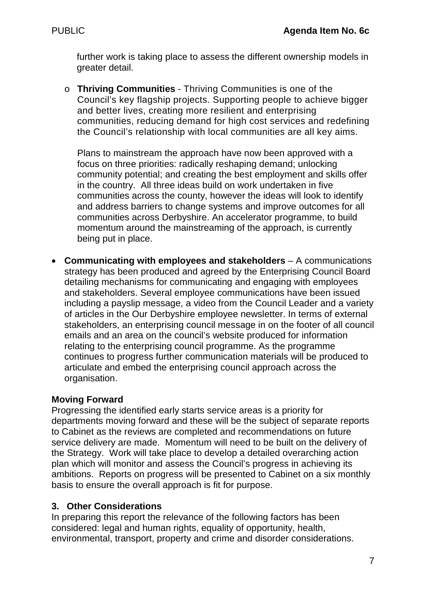further work is taking place to assess the different ownership models in greater detail.

o **Thriving Communities** - Thriving Communities is one of the Council's key flagship projects. Supporting people to achieve bigger and better lives, creating more resilient and enterprising communities, reducing demand for high cost services and redefining the Council's relationship with local communities are all key aims.

Plans to mainstream the approach have now been approved with a focus on three priorities: radically reshaping demand; unlocking community potential; and creating the best employment and skills offer in the country. All three ideas build on work undertaken in five communities across the county, however the ideas will look to identify and address barriers to change systems and improve outcomes for all communities across Derbyshire. An accelerator programme, to build momentum around the mainstreaming of the approach, is currently being put in place.

• **Communicating with employees and stakeholders** – A communications strategy has been produced and agreed by the Enterprising Council Board detailing mechanisms for communicating and engaging with employees and stakeholders. Several employee communications have been issued including a payslip message, a video from the Council Leader and a variety of articles in the Our Derbyshire employee newsletter. In terms of external stakeholders, an enterprising council message in on the footer of all council emails and an area on the council's website produced for information relating to the enterprising council programme. As the programme continues to progress further communication materials will be produced to articulate and embed the enterprising council approach across the organisation.

#### **Moving Forward**

Progressing the identified early starts service areas is a priority for departments moving forward and these will be the subject of separate reports to Cabinet as the reviews are completed and recommendations on future service delivery are made. Momentum will need to be built on the delivery of the Strategy. Work will take place to develop a detailed overarching action plan which will monitor and assess the Council's progress in achieving its ambitions. Reports on progress will be presented to Cabinet on a six monthly basis to ensure the overall approach is fit for purpose.

#### **3. Other Considerations**

In preparing this report the relevance of the following factors has been considered: legal and human rights, equality of opportunity, health, environmental, transport, property and crime and disorder considerations.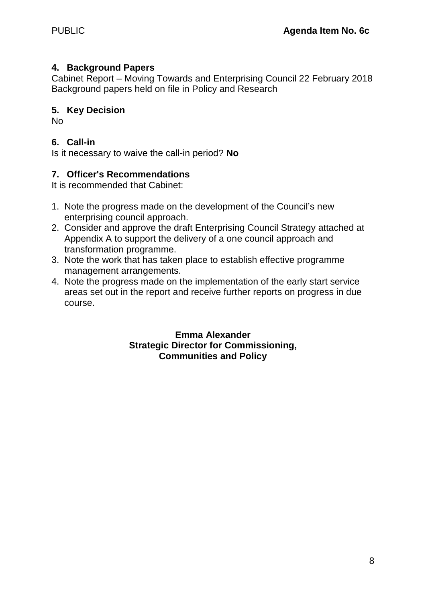#### **4. Background Papers**

Cabinet Report – Moving Towards and Enterprising Council 22 February 2018 Background papers held on file in Policy and Research

#### **5. Key Decision**

No

## **6. Call-in**

Is it necessary to waive the call-in period? **No**

## **7. Officer's Recommendations**

It is recommended that Cabinet:

- 1. Note the progress made on the development of the Council's new enterprising council approach.
- 2. Consider and approve the draft Enterprising Council Strategy attached at Appendix A to support the delivery of a one council approach and transformation programme.
- 3. Note the work that has taken place to establish effective programme management arrangements.
- 4. Note the progress made on the implementation of the early start service areas set out in the report and receive further reports on progress in due course.

#### **Emma Alexander Strategic Director for Commissioning, Communities and Policy**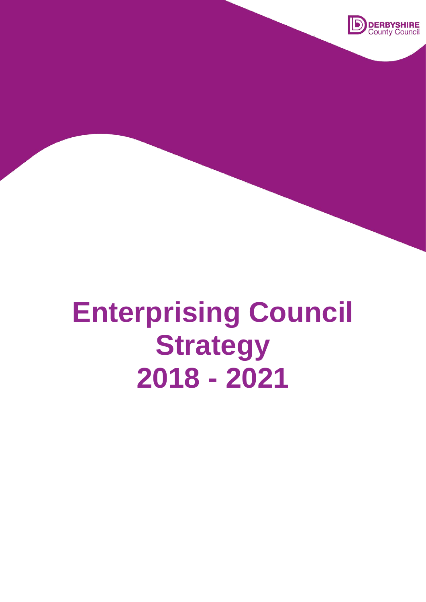

# **Enterprising Council Strategy 2018 - 2021**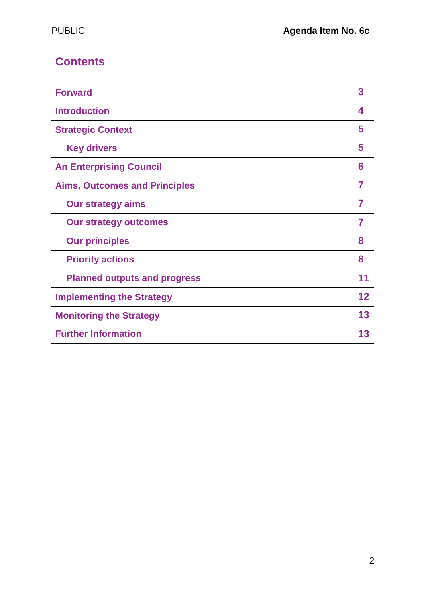# **Contents**

| <b>Forward</b>                       | 3  |
|--------------------------------------|----|
| <b>Introduction</b>                  | 4  |
| <b>Strategic Context</b>             | 5  |
| <b>Key drivers</b>                   | 5  |
| <b>An Enterprising Council</b>       | 6  |
| <b>Aims, Outcomes and Principles</b> | 7  |
| <b>Our strategy aims</b>             | 7  |
| <b>Our strategy outcomes</b>         | 7  |
| <b>Our principles</b>                | 8  |
| <b>Priority actions</b>              | 8  |
| <b>Planned outputs and progress</b>  | 11 |
| <b>Implementing the Strategy</b>     | 12 |
| <b>Monitoring the Strategy</b>       | 13 |
| <b>Further Information</b>           | 13 |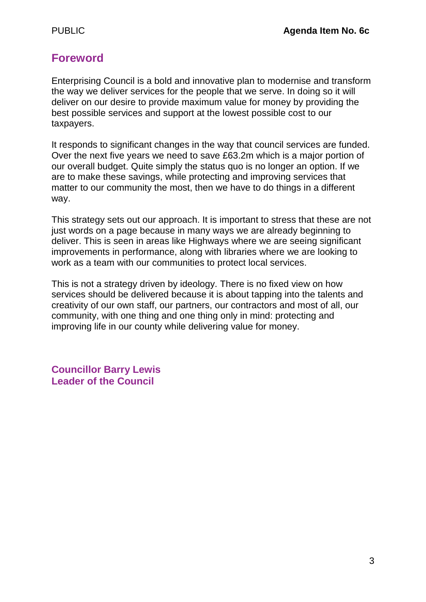# **Foreword**

Enterprising Council is a bold and innovative plan to modernise and transform the way we deliver services for the people that we serve. In doing so it will deliver on our desire to provide maximum value for money by providing the best possible services and support at the lowest possible cost to our taxpayers.

It responds to significant changes in the way that council services are funded. Over the next five years we need to save £63.2m which is a major portion of our overall budget. Quite simply the status quo is no longer an option. If we are to make these savings, while protecting and improving services that matter to our community the most, then we have to do things in a different way.

This strategy sets out our approach. It is important to stress that these are not just words on a page because in many ways we are already beginning to deliver. This is seen in areas like Highways where we are seeing significant improvements in performance, along with libraries where we are looking to work as a team with our communities to protect local services.

This is not a strategy driven by ideology. There is no fixed view on how services should be delivered because it is about tapping into the talents and creativity of our own staff, our partners, our contractors and most of all, our community, with one thing and one thing only in mind: protecting and improving life in our county while delivering value for money.

**Councillor Barry Lewis Leader of the Council**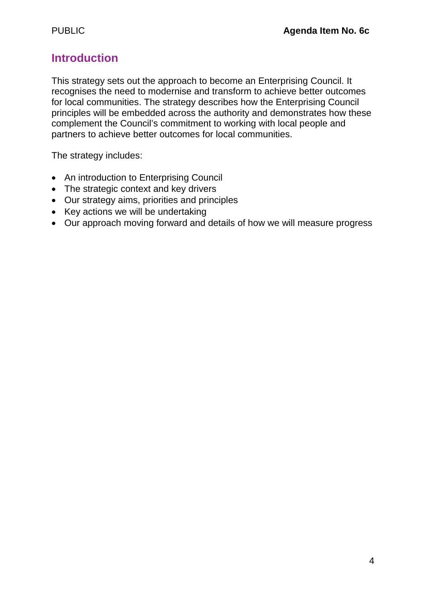# **Introduction**

This strategy sets out the approach to become an Enterprising Council. It recognises the need to modernise and transform to achieve better outcomes for local communities. The strategy describes how the Enterprising Council principles will be embedded across the authority and demonstrates how these complement the Council's commitment to working with local people and partners to achieve better outcomes for local communities.

The strategy includes:

- An introduction to Enterprising Council
- The strategic context and key drivers
- Our strategy aims, priorities and principles
- Key actions we will be undertaking
- Our approach moving forward and details of how we will measure progress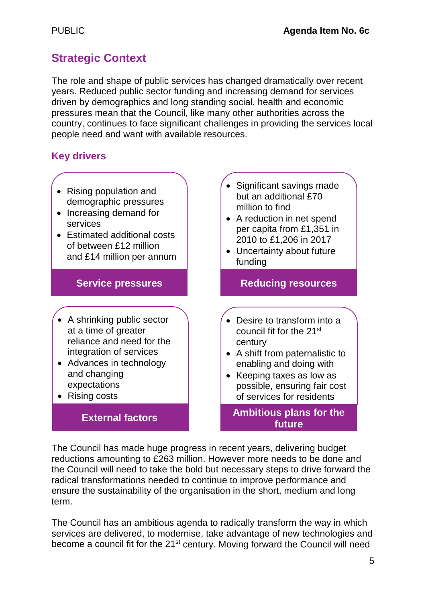# **Strategic Context**

The role and shape of public services has changed dramatically over recent years. Reduced public sector funding and increasing demand for services driven by demographics and long standing social, health and economic pressures mean that the Council, like many other authorities across the country, continues to face significant challenges in providing the services local people need and want with available resources.

# **Key drivers**

- Rising population and demographic pressures
- Increasing demand for services
- Estimated additional costs of between £12 million and £14 million per annum

## **Service pressures**

- A shrinking public sector at a time of greater reliance and need for the integration of services
- Advances in technology and changing expectations
- Rising costs

# **External factors**

- Significant savings made but an additional £70 million to find
- A reduction in net spend per capita from £1,351 in 2010 to £1,206 in 2017
- Uncertainty about future funding

**Reducing resources**

- Desire to transform into a council fit for the 21st century
- A shift from paternalistic to enabling and doing with
- Keeping taxes as low as possible, ensuring fair cost of services for residents
	- **Ambitious plans for the future**

The Council has made huge progress in recent years, delivering budget reductions amounting to £263 million. However more needs to be done and the Council will need to take the bold but necessary steps to drive forward the radical transformations needed to continue to improve performance and ensure the sustainability of the organisation in the short, medium and long term.

The Council has an ambitious agenda to radically transform the way in which services are delivered, to modernise, take advantage of new technologies and become a council fit for the 21<sup>st</sup> century. Moving forward the Council will need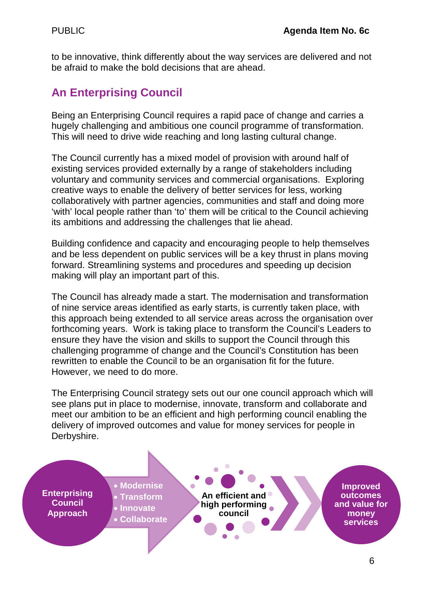to be innovative, think differently about the way services are delivered and not be afraid to make the bold decisions that are ahead.

# **An Enterprising Council**

Being an Enterprising Council requires a rapid pace of change and carries a hugely challenging and ambitious one council programme of transformation. This will need to drive wide reaching and long lasting cultural change.

The Council currently has a mixed model of provision with around half of existing services provided externally by a range of stakeholders including voluntary and community services and commercial organisations. Exploring creative ways to enable the delivery of better services for less, working collaboratively with partner agencies, communities and staff and doing more 'with' local people rather than 'to' them will be critical to the Council achieving its ambitions and addressing the challenges that lie ahead.

Building confidence and capacity and encouraging people to help themselves and be less dependent on public services will be a key thrust in plans moving forward. Streamlining systems and procedures and speeding up decision making will play an important part of this.

The Council has already made a start. The modernisation and transformation of nine service areas identified as early starts, is currently taken place, with this approach being extended to all service areas across the organisation over forthcoming years. Work is taking place to transform the Council's Leaders to ensure they have the vision and skills to support the Council through this challenging programme of change and the Council's Constitution has been rewritten to enable the Council to be an organisation fit for the future. However, we need to do more.

The Enterprising Council strategy sets out our one council approach which will see plans put in place to modernise, innovate, transform and collaborate and meet our ambition to be an efficient and high performing council enabling the delivery of improved outcomes and value for money services for people in Derbyshire.

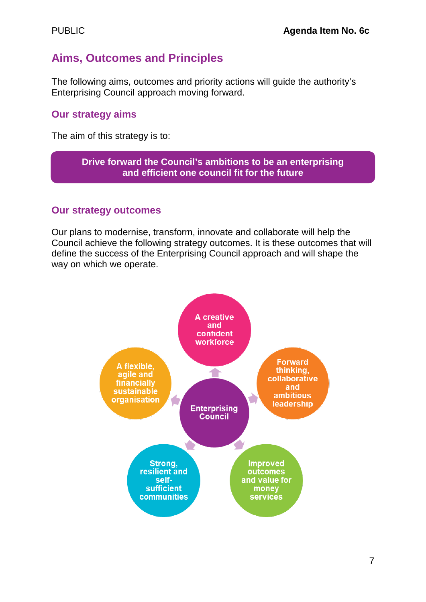# **Aims, Outcomes and Principles**

The following aims, outcomes and priority actions will guide the authority's Enterprising Council approach moving forward.

## **Our strategy aims**

The aim of this strategy is to:

#### **Drive forward the Council's ambitions to be an enterprising and efficient one council fit for the future**

#### **Our strategy outcomes**

Our plans to modernise, transform, innovate and collaborate will help the Council achieve the following strategy outcomes. It is these outcomes that will define the success of the Enterprising Council approach and will shape the way on which we operate.

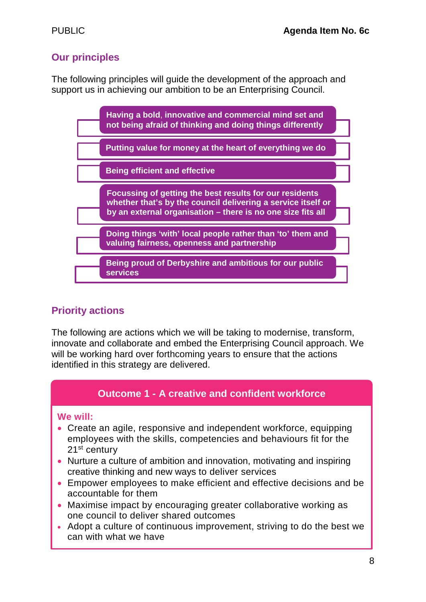# **Our principles**

The following principles will guide the development of the approach and support us in achieving our ambition to be an Enterprising Council.



# **Priority actions**

The following are actions which we will be taking to modernise, transform, innovate and collaborate and embed the Enterprising Council approach. We will be working hard over forthcoming years to ensure that the actions identified in this strategy are delivered.

## **Outcome 1 - A creative and confident workforce**

#### **We will:**

- Create an agile, responsive and independent workforce, equipping employees with the skills, competencies and behaviours fit for the 21<sup>st</sup> century
- Nurture a culture of ambition and innovation, motivating and inspiring creative thinking and new ways to deliver services
- Empower employees to make efficient and effective decisions and be accountable for them
- Maximise impact by encouraging greater collaborative working as one council to deliver shared outcomes
- Adopt a culture of continuous improvement, striving to do the best we can with what we have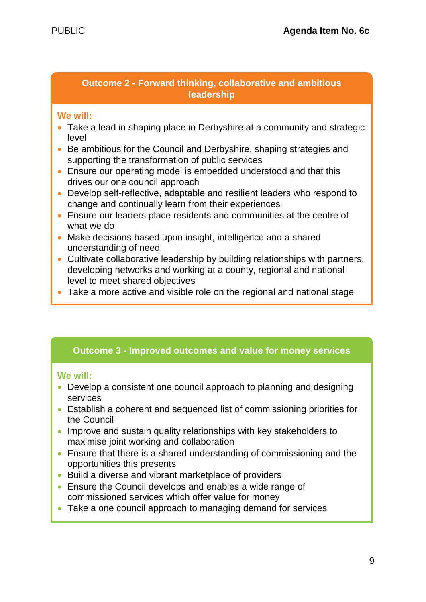#### **Outcome 2 - Forward thinking, collaborative and ambitious leadership**

#### **We will:**

- Take a lead in shaping place in Derbyshire at a community and strategic level
- Be ambitious for the Council and Derbyshire, shaping strategies and supporting the transformation of public services
- Ensure our operating model is embedded understood and that this drives our one council approach
- Develop self-reflective, adaptable and resilient leaders who respond to change and continually learn from their experiences
- Ensure our leaders place residents and communities at the centre of what we do
- Make decisions based upon insight, intelligence and a shared understanding of need
- Cultivate collaborative leadership by building relationships with partners, developing networks and working at a county, regional and national level to meet shared objectives
- Take a more active and visible role on the regional and national stage

#### **Outcome 3 - Improved outcomes and value for money services**

#### **We will:**

- Develop a consistent one council approach to planning and designing services
- Establish a coherent and sequenced list of commissioning priorities for the Council
- Improve and sustain quality relationships with key stakeholders to maximise joint working and collaboration
- Ensure that there is a shared understanding of commissioning and the opportunities this presents
- Build a diverse and vibrant marketplace of providers
- Ensure the Council develops and enables a wide range of commissioned services which offer value for money
- Take a one council approach to managing demand for services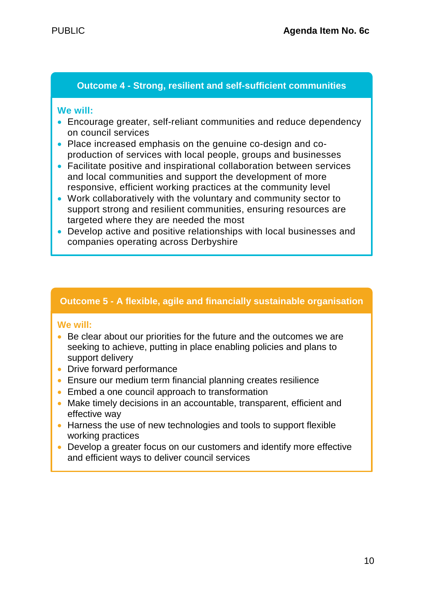#### **Outcome 4 - Strong, resilient and self-sufficient communities**

#### **We will:**

- Encourage greater, self-reliant communities and reduce dependency on council services
- Place increased emphasis on the genuine co-design and coproduction of services with local people, groups and businesses
- Facilitate positive and inspirational collaboration between services and local communities and support the development of more responsive, efficient working practices at the community level
- Work collaboratively with the voluntary and community sector to support strong and resilient communities, ensuring resources are targeted where they are needed the most
- Develop active and positive relationships with local businesses and companies operating across Derbyshire

#### **Outcome 5 - A flexible, agile and financially sustainable organisation**

#### **We will:**

- Be clear about our priorities for the future and the outcomes we are seeking to achieve, putting in place enabling policies and plans to support delivery
- Drive forward performance
- Ensure our medium term financial planning creates resilience
- Embed a one council approach to transformation
- Make timely decisions in an accountable, transparent, efficient and effective way
- Harness the use of new technologies and tools to support flexible working practices
- Develop a greater focus on our customers and identify more effective and efficient ways to deliver council services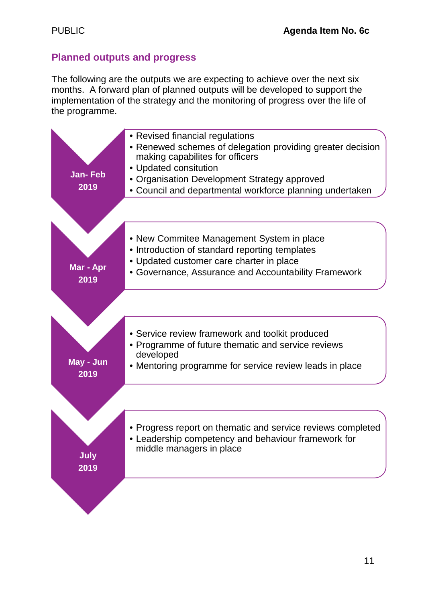# **Planned outputs and progress**

The following are the outputs we are expecting to achieve over the next six months. A forward plan of planned outputs will be developed to support the implementation of the strategy and the monitoring of progress over the life of the programme.

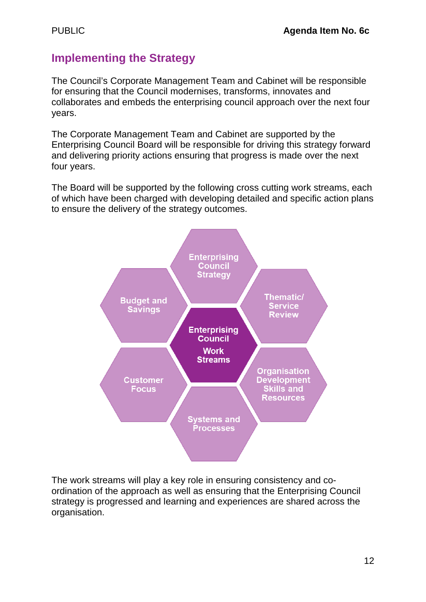# **Implementing the Strategy**

The Council's Corporate Management Team and Cabinet will be responsible for ensuring that the Council modernises, transforms, innovates and collaborates and embeds the enterprising council approach over the next four years.

The Corporate Management Team and Cabinet are supported by the Enterprising Council Board will be responsible for driving this strategy forward and delivering priority actions ensuring that progress is made over the next four years.

The Board will be supported by the following cross cutting work streams, each of which have been charged with developing detailed and specific action plans to ensure the delivery of the strategy outcomes.



The work streams will play a key role in ensuring consistency and coordination of the approach as well as ensuring that the Enterprising Council strategy is progressed and learning and experiences are shared across the organisation.